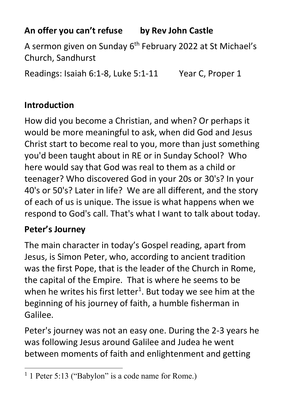# **An offer you can't refuse by Rev John Castle**

A sermon given on Sunday 6<sup>th</sup> February 2022 at St Michael's Church, Sandhurst

Readings: Isaiah 6:1-8, Luke 5:1-11 Year C, Proper 1

## **Introduction**

How did you become a Christian, and when? Or perhaps it would be more meaningful to ask, when did God and Jesus Christ start to become real to you, more than just something you'd been taught about in RE or in Sunday School? Who here would say that God was real to them as a child or teenager? Who discovered God in your 20s or 30's? In your 40's or 50's? Later in life? We are all different, and the story of each of us is unique. The issue is what happens when we respond to God's call. That's what I want to talk about today.

## **Peter's Journey**

The main character in today's Gospel reading, apart from Jesus, is Simon Peter, who, according to ancient tradition was the first Pope, that is the leader of the Church in Rome, the capital of the Empire. That is where he seems to be when he writes his first letter<sup>1</sup>. But today we see him at the beginning of his journey of faith, a humble fisherman in Galilee.

Peter's journey was not an easy one. During the 2-3 years he was following Jesus around Galilee and Judea he went between moments of faith and enlightenment and getting

<sup>&</sup>lt;sup>1</sup> 1 Peter 5:13 ("Babylon" is a code name for Rome.)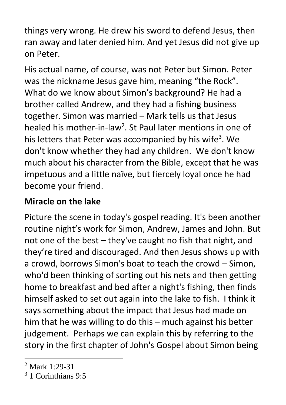things very wrong. He drew his sword to defend Jesus, then ran away and later denied him. And yet Jesus did not give up on Peter.

His actual name, of course, was not Peter but Simon. Peter was the nickname Jesus gave him, meaning "the Rock". What do we know about Simon's background? He had a brother called Andrew, and they had a fishing business together. Simon was married – Mark tells us that Jesus healed his mother-in-law<sup>2</sup>. St Paul later mentions in one of his letters that Peter was accompanied by his wife<sup>3</sup>. We don't know whether they had any children. We don't know much about his character from the Bible, except that he was impetuous and a little naïve, but fiercely loyal once he had become your friend.

# **Miracle on the lake**

Picture the scene in today's gospel reading. It's been another routine night's work for Simon, Andrew, James and John. But not one of the best – they've caught no fish that night, and they're tired and discouraged. And then Jesus shows up with a crowd, borrows Simon's boat to teach the crowd – Simon, who'd been thinking of sorting out his nets and then getting home to breakfast and bed after a night's fishing, then finds himself asked to set out again into the lake to fish. I think it says something about the impact that Jesus had made on him that he was willing to do this – much against his better judgement. Perhaps we can explain this by referring to the story in the first chapter of John's Gospel about Simon being

 $2$  Mark 1:29-31

<sup>3</sup> 1 Corinthians 9:5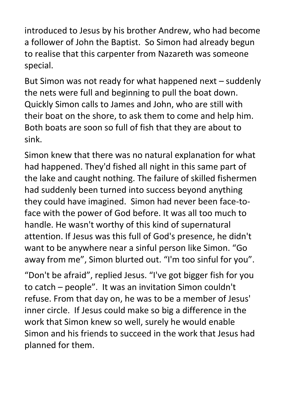introduced to Jesus by his brother Andrew, who had become a follower of John the Baptist. So Simon had already begun to realise that this carpenter from Nazareth was someone special.

But Simon was not ready for what happened next – suddenly the nets were full and beginning to pull the boat down. Quickly Simon calls to James and John, who are still with their boat on the shore, to ask them to come and help him. Both boats are soon so full of fish that they are about to sink.

Simon knew that there was no natural explanation for what had happened. They'd fished all night in this same part of the lake and caught nothing. The failure of skilled fishermen had suddenly been turned into success beyond anything they could have imagined. Simon had never been face-toface with the power of God before. It was all too much to handle. He wasn't worthy of this kind of supernatural attention. If Jesus was this full of God's presence, he didn't want to be anywhere near a sinful person like Simon. "Go away from me", Simon blurted out. "I'm too sinful for you".

"Don't be afraid", replied Jesus. "I've got bigger fish for you to catch – people". It was an invitation Simon couldn't refuse. From that day on, he was to be a member of Jesus' inner circle. If Jesus could make so big a difference in the work that Simon knew so well, surely he would enable Simon and his friends to succeed in the work that Jesus had planned for them.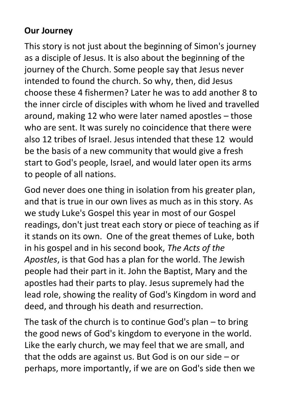## **Our Journey**

This story is not just about the beginning of Simon's journey as a disciple of Jesus. It is also about the beginning of the journey of the Church. Some people say that Jesus never intended to found the church. So why, then, did Jesus choose these 4 fishermen? Later he was to add another 8 to the inner circle of disciples with whom he lived and travelled around, making 12 who were later named apostles – those who are sent. It was surely no coincidence that there were also 12 tribes of Israel. Jesus intended that these 12 would be the basis of a new community that would give a fresh start to God's people, Israel, and would later open its arms to people of all nations.

God never does one thing in isolation from his greater plan, and that is true in our own lives as much as in this story. As we study Luke's Gospel this year in most of our Gospel readings, don't just treat each story or piece of teaching as if it stands on its own. One of the great themes of Luke, both in his gospel and in his second book, *The Acts of the Apostles*, is that God has a plan for the world. The Jewish people had their part in it. John the Baptist, Mary and the apostles had their parts to play. Jesus supremely had the lead role, showing the reality of God's Kingdom in word and deed, and through his death and resurrection.

The task of the church is to continue God's plan – to bring the good news of God's kingdom to everyone in the world. Like the early church, we may feel that we are small, and that the odds are against us. But God is on our side – or perhaps, more importantly, if we are on God's side then we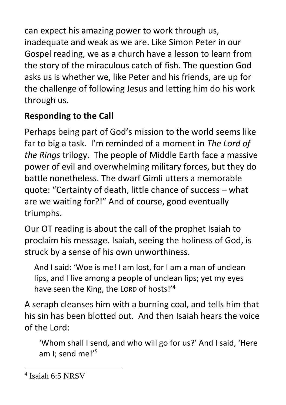can expect his amazing power to work through us, inadequate and weak as we are. Like Simon Peter in our Gospel reading, we as a church have a lesson to learn from the story of the miraculous catch of fish. The question God asks us is whether we, like Peter and his friends, are up for the challenge of following Jesus and letting him do his work through us.

# **Responding to the Call**

Perhaps being part of God's mission to the world seems like far to big a task. I'm reminded of a moment in *The Lord of the Rings* trilogy. The people of Middle Earth face a massive power of evil and overwhelming military forces, but they do battle nonetheless. The dwarf Gimli utters a memorable quote: "Certainty of death, little chance of success – what are we waiting for?!" And of course, good eventually triumphs.

Our OT reading is about the call of the prophet Isaiah to proclaim his message. Isaiah, seeing the holiness of God, is struck by a sense of his own unworthiness.

And I said: 'Woe is me! I am lost, for I am a man of unclean lips, and I live among a people of unclean lips; yet my eyes have seen the King, the LORD of hosts!'<sup>4</sup>

A seraph cleanses him with a burning coal, and tells him that his sin has been blotted out. And then Isaiah hears the voice of the Lord:

'Whom shall I send, and who will go for us?' And I said, 'Here am I; send me!'<sup>5</sup>

<sup>4</sup> Isaiah 6:5 NRSV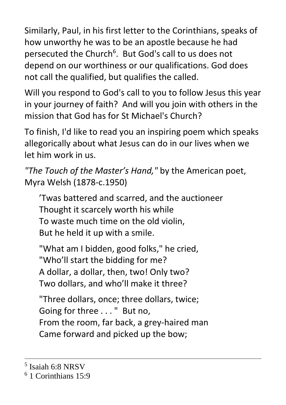Similarly, Paul, in his first letter to the Corinthians, speaks of how unworthy he was to be an apostle because he had persecuted the Church<sup>6</sup>. But God's call to us does not depend on our worthiness or our qualifications. God does not call the qualified, but qualifies the called.

Will you respond to God's call to you to follow Jesus this year in your journey of faith? And will you join with others in the mission that God has for St Michael's Church?

To finish, I'd like to read you an inspiring poem which speaks allegorically about what Jesus can do in our lives when we let him work in us.

```
"The Touch of the Master's Hand," by the American poet, 
Myra Welsh (1878-c.1950)
```
'Twas battered and scarred, and the auctioneer Thought it scarcely worth his while To waste much time on the old violin, But he held it up with a smile.

"What am I bidden, good folks," he cried, "Who'll start the bidding for me? A dollar, a dollar, then, two! Only two? Two dollars, and who'll make it three?

"Three dollars, once; three dollars, twice; Going for three . . . " But no, From the room, far back, a grey-haired man Came forward and picked up the bow;

<sup>5</sup> Isaiah 6:8 NRSV

<sup>6</sup> 1 Corinthians 15:9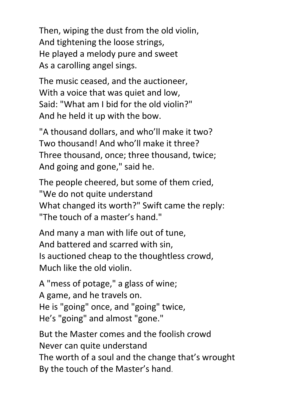Then, wiping the dust from the old violin, And tightening the loose strings, He played a melody pure and sweet As a carolling angel sings.

The music ceased, and the auctioneer, With a voice that was quiet and low, Said: "What am I bid for the old violin?" And he held it up with the bow.

"A thousand dollars, and who'll make it two? Two thousand! And who'll make it three? Three thousand, once; three thousand, twice; And going and gone," said he.

The people cheered, but some of them cried, "We do not quite understand What changed its worth?" Swift came the reply: "The touch of a master's hand."

And many a man with life out of tune, And battered and scarred with sin, Is auctioned cheap to the thoughtless crowd, Much like the old violin.

A "mess of potage," a glass of wine; A game, and he travels on. He is "going" once, and "going" twice, He's "going" and almost "gone."

But the Master comes and the foolish crowd Never can quite understand The worth of a soul and the change that's wrought By the touch of the Master's hand.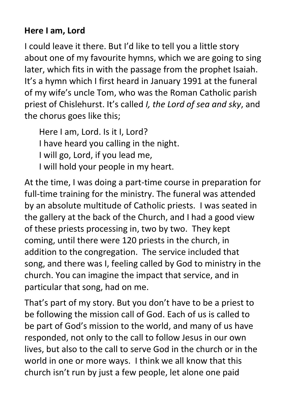## **Here I am, Lord**

I could leave it there. But I'd like to tell you a little story about one of my favourite hymns, which we are going to sing later, which fits in with the passage from the prophet Isaiah. It's a hymn which I first heard in January 1991 at the funeral of my wife's uncle Tom, who was the Roman Catholic parish priest of Chislehurst. It's called *I, the Lord of sea and sky*, and the chorus goes like this;

Here I am, Lord. Is it I, Lord? I have heard you calling in the night. I will go, Lord, if you lead me, I will hold your people in my heart.

At the time, I was doing a part-time course in preparation for full-time training for the ministry. The funeral was attended by an absolute multitude of Catholic priests. I was seated in the gallery at the back of the Church, and I had a good view of these priests processing in, two by two. They kept coming, until there were 120 priests in the church, in addition to the congregation. The service included that song, and there was I, feeling called by God to ministry in the church. You can imagine the impact that service, and in particular that song, had on me.

That's part of my story. But you don't have to be a priest to be following the mission call of God. Each of us is called to be part of God's mission to the world, and many of us have responded, not only to the call to follow Jesus in our own lives, but also to the call to serve God in the church or in the world in one or more ways. I think we all know that this church isn't run by just a few people, let alone one paid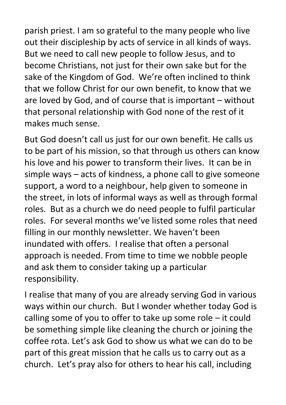parish priest. I am so grateful to the many people who live out their discipleship by acts of service in all kinds of ways. But we need to call new people to follow Jesus, and to become Christians, not just for their own sake but for the sake of the Kingdom of God. We're often inclined to think that we follow Christ for our own benefit, to know that we are loved by God, and of course that is important – without that personal relationship with God none of the rest of it makes much sense.

But God doesn't call us just for our own benefit. He calls us to be part of his mission, so that through us others can know his love and his power to transform their lives. It can be in simple ways – acts of kindness, a phone call to give someone support, a word to a neighbour, help given to someone in the street, in lots of informal ways as well as through formal roles. But as a church we do need people to fulfil particular roles. For several months we've listed some roles that need filling in our monthly newsletter. We haven't been inundated with offers. I realise that often a personal approach is needed. From time to time we nobble people and ask them to consider taking up a particular responsibility.

I realise that many of you are already serving God in various ways within our church. But I wonder whether today God is calling some of you to offer to take up some role – it could be something simple like cleaning the church or joining the coffee rota. Let's ask God to show us what we can do to be part of this great mission that he calls us to carry out as a church. Let's pray also for others to hear his call, including